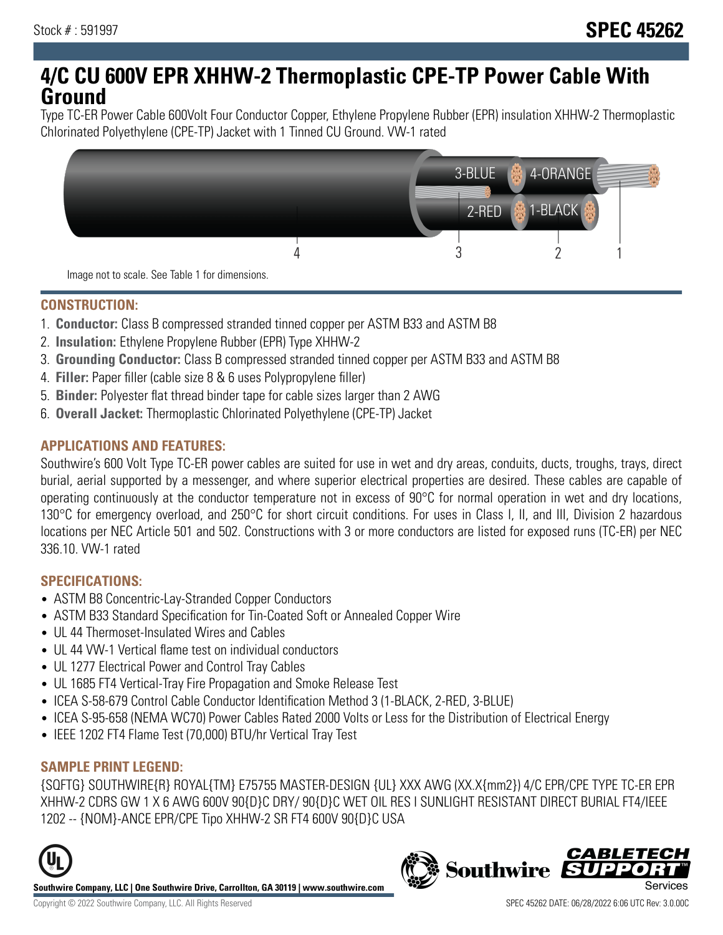## **4/C CU 600V EPR XHHW-2 Thermoplastic CPE-TP Power Cable With Ground**

Type TC-ER Power Cable 600Volt Four Conductor Copper, Ethylene Propylene Rubber (EPR) insulation XHHW-2 Thermoplastic Chlorinated Polyethylene (CPE-TP) Jacket with 1 Tinned CU Ground. VW-1 rated



#### **CONSTRUCTION:**

- 1. **Conductor:** Class B compressed stranded tinned copper per ASTM B33 and ASTM B8
- 2. **Insulation:** Ethylene Propylene Rubber (EPR) Type XHHW-2
- 3. **Grounding Conductor:** Class B compressed stranded tinned copper per ASTM B33 and ASTM B8
- 4. **Filler:** Paper filler (cable size 8 & 6 uses Polypropylene filler)
- 5. **Binder:** Polyester flat thread binder tape for cable sizes larger than 2 AWG
- 6. **Overall Jacket:** Thermoplastic Chlorinated Polyethylene (CPE-TP) Jacket

#### **APPLICATIONS AND FEATURES:**

Southwire's 600 Volt Type TC-ER power cables are suited for use in wet and dry areas, conduits, ducts, troughs, trays, direct burial, aerial supported by a messenger, and where superior electrical properties are desired. These cables are capable of operating continuously at the conductor temperature not in excess of 90°C for normal operation in wet and dry locations, 130°C for emergency overload, and 250°C for short circuit conditions. For uses in Class I, II, and III, Division 2 hazardous locations per NEC Article 501 and 502. Constructions with 3 or more conductors are listed for exposed runs (TC-ER) per NEC 336.10. VW-1 rated

#### **SPECIFICATIONS:**

- ASTM B8 Concentric-Lay-Stranded Copper Conductors
- ASTM B33 Standard Specification for Tin-Coated Soft or Annealed Copper Wire
- UL 44 Thermoset-Insulated Wires and Cables
- UL 44 VW-1 Vertical flame test on individual conductors
- UL 1277 Electrical Power and Control Tray Cables
- UL 1685 FT4 Vertical-Tray Fire Propagation and Smoke Release Test
- ICEA S-58-679 Control Cable Conductor Identification Method 3 (1-BLACK, 2-RED, 3-BLUE)
- ICEA S-95-658 (NEMA WC70) Power Cables Rated 2000 Volts or Less for the Distribution of Electrical Energy
- IEEE 1202 FT4 Flame Test (70,000) BTU/hr Vertical Tray Test

## **SAMPLE PRINT LEGEND:**

{SQFTG} SOUTHWIRE{R} ROYAL{TM} E75755 MASTER-DESIGN {UL} XXX AWG (XX.X{mm2}) 4/C EPR/CPE TYPE TC-ER EPR XHHW-2 CDRS GW 1 X 6 AWG 600V 90{D}C DRY/ 90{D}C WET OIL RES I SUNLIGHT RESISTANT DIRECT BURIAL FT4/IEEE 1202 -- {NOM}-ANCE EPR/CPE Tipo XHHW-2 SR FT4 600V 90{D}C USA



**Southwire Company, LLC | One Southwire Drive, Carrollton, GA 30119 | www.southwire.com**

# **Southwire**

**CABLETEC**